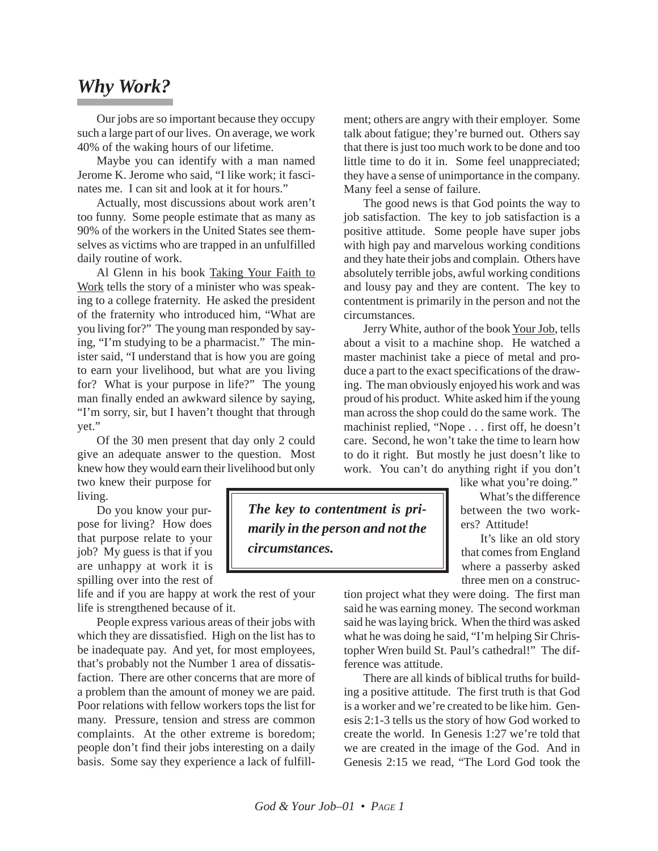## *Why Work?*

Our jobs are so important because they occupy such a large part of our lives. On average, we work 40% of the waking hours of our lifetime.

Maybe you can identify with a man named Jerome K. Jerome who said, "I like work; it fascinates me. I can sit and look at it for hours."

Actually, most discussions about work aren't too funny. Some people estimate that as many as 90% of the workers in the United States see themselves as victims who are trapped in an unfulfilled daily routine of work.

Al Glenn in his book Taking Your Faith to Work tells the story of a minister who was speaking to a college fraternity. He asked the president of the fraternity who introduced him, "What are you living for?" The young man responded by saying, "I'm studying to be a pharmacist." The minister said, "I understand that is how you are going to earn your livelihood, but what are you living for? What is your purpose in life?" The young man finally ended an awkward silence by saying, "I'm sorry, sir, but I haven't thought that through yet."

Of the 30 men present that day only 2 could give an adequate answer to the question. Most knew how they would earn their livelihood but only

two knew their purpose for living.

Do you know your purpose for living? How does that purpose relate to your job? My guess is that if you are unhappy at work it is spilling over into the rest of

life and if you are happy at work the rest of your life is strengthened because of it.

People express various areas of their jobs with which they are dissatisfied. High on the list has to be inadequate pay. And yet, for most employees, that's probably not the Number 1 area of dissatisfaction. There are other concerns that are more of a problem than the amount of money we are paid. Poor relations with fellow workers tops the list for many. Pressure, tension and stress are common complaints. At the other extreme is boredom; people don't find their jobs interesting on a daily basis. Some say they experience a lack of fulfill-

ment; others are angry with their employer. Some talk about fatigue; they're burned out. Others say that there is just too much work to be done and too little time to do it in. Some feel unappreciated; they have a sense of unimportance in the company. Many feel a sense of failure.

The good news is that God points the way to job satisfaction. The key to job satisfaction is a positive attitude. Some people have super jobs with high pay and marvelous working conditions and they hate their jobs and complain. Others have absolutely terrible jobs, awful working conditions and lousy pay and they are content. The key to contentment is primarily in the person and not the circumstances.

Jerry White, author of the book Your Job, tells about a visit to a machine shop. He watched a master machinist take a piece of metal and produce a part to the exact specifications of the drawing. The man obviously enjoyed his work and was proud of his product. White asked him if the young man across the shop could do the same work. The machinist replied, "Nope . . . first off, he doesn't care. Second, he won't take the time to learn how to do it right. But mostly he just doesn't like to work. You can't do anything right if you don't

like what you're doing."

What's the difference between the two workers? Attitude!

It's like an old story that comes from England where a passerby asked three men on a construc-

tion project what they were doing. The first man said he was earning money. The second workman said he was laying brick. When the third was asked what he was doing he said, "I'm helping Sir Christopher Wren build St. Paul's cathedral!" The difference was attitude.

There are all kinds of biblical truths for building a positive attitude. The first truth is that God is a worker and we're created to be like him. Genesis 2:1-3 tells us the story of how God worked to create the world. In Genesis 1:27 we're told that we are created in the image of the God. And in Genesis 2:15 we read, "The Lord God took the

*The key to contentment is primarily in the person and not the*

*circumstances.*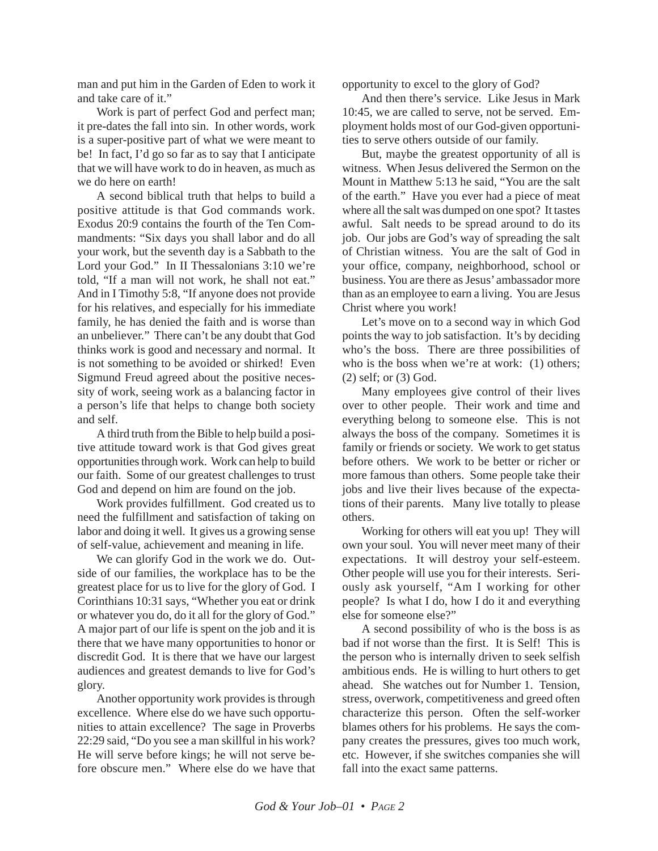man and put him in the Garden of Eden to work it and take care of it."

Work is part of perfect God and perfect man; it pre-dates the fall into sin. In other words, work is a super-positive part of what we were meant to be! In fact, I'd go so far as to say that I anticipate that we will have work to do in heaven, as much as we do here on earth!

A second biblical truth that helps to build a positive attitude is that God commands work. Exodus 20:9 contains the fourth of the Ten Commandments: "Six days you shall labor and do all your work, but the seventh day is a Sabbath to the Lord your God." In II Thessalonians 3:10 we're told, "If a man will not work, he shall not eat." And in I Timothy 5:8, "If anyone does not provide for his relatives, and especially for his immediate family, he has denied the faith and is worse than an unbeliever." There can't be any doubt that God thinks work is good and necessary and normal. It is not something to be avoided or shirked! Even Sigmund Freud agreed about the positive necessity of work, seeing work as a balancing factor in a person's life that helps to change both society and self.

A third truth from the Bible to help build a positive attitude toward work is that God gives great opportunities through work. Work can help to build our faith. Some of our greatest challenges to trust God and depend on him are found on the job.

Work provides fulfillment. God created us to need the fulfillment and satisfaction of taking on labor and doing it well. It gives us a growing sense of self-value, achievement and meaning in life.

We can glorify God in the work we do. Outside of our families, the workplace has to be the greatest place for us to live for the glory of God. I Corinthians 10:31 says, "Whether you eat or drink or whatever you do, do it all for the glory of God." A major part of our life is spent on the job and it is there that we have many opportunities to honor or discredit God. It is there that we have our largest audiences and greatest demands to live for God's glory.

Another opportunity work provides is through excellence. Where else do we have such opportunities to attain excellence? The sage in Proverbs 22:29 said, "Do you see a man skillful in his work? He will serve before kings; he will not serve before obscure men." Where else do we have that opportunity to excel to the glory of God?

And then there's service. Like Jesus in Mark 10:45, we are called to serve, not be served. Employment holds most of our God-given opportunities to serve others outside of our family.

But, maybe the greatest opportunity of all is witness. When Jesus delivered the Sermon on the Mount in Matthew 5:13 he said, "You are the salt of the earth." Have you ever had a piece of meat where all the salt was dumped on one spot? It tastes awful. Salt needs to be spread around to do its job. Our jobs are God's way of spreading the salt of Christian witness. You are the salt of God in your office, company, neighborhood, school or business. You are there as Jesus' ambassador more than as an employee to earn a living. You are Jesus Christ where you work!

Let's move on to a second way in which God points the way to job satisfaction. It's by deciding who's the boss. There are three possibilities of who is the boss when we're at work: (1) others: (2) self; or (3) God.

Many employees give control of their lives over to other people. Their work and time and everything belong to someone else. This is not always the boss of the company. Sometimes it is family or friends or society. We work to get status before others. We work to be better or richer or more famous than others. Some people take their jobs and live their lives because of the expectations of their parents. Many live totally to please others.

Working for others will eat you up! They will own your soul. You will never meet many of their expectations. It will destroy your self-esteem. Other people will use you for their interests. Seriously ask yourself, "Am I working for other people? Is what I do, how I do it and everything else for someone else?"

A second possibility of who is the boss is as bad if not worse than the first. It is Self! This is the person who is internally driven to seek selfish ambitious ends. He is willing to hurt others to get ahead. She watches out for Number 1. Tension, stress, overwork, competitiveness and greed often characterize this person. Often the self-worker blames others for his problems. He says the company creates the pressures, gives too much work, etc. However, if she switches companies she will fall into the exact same patterns.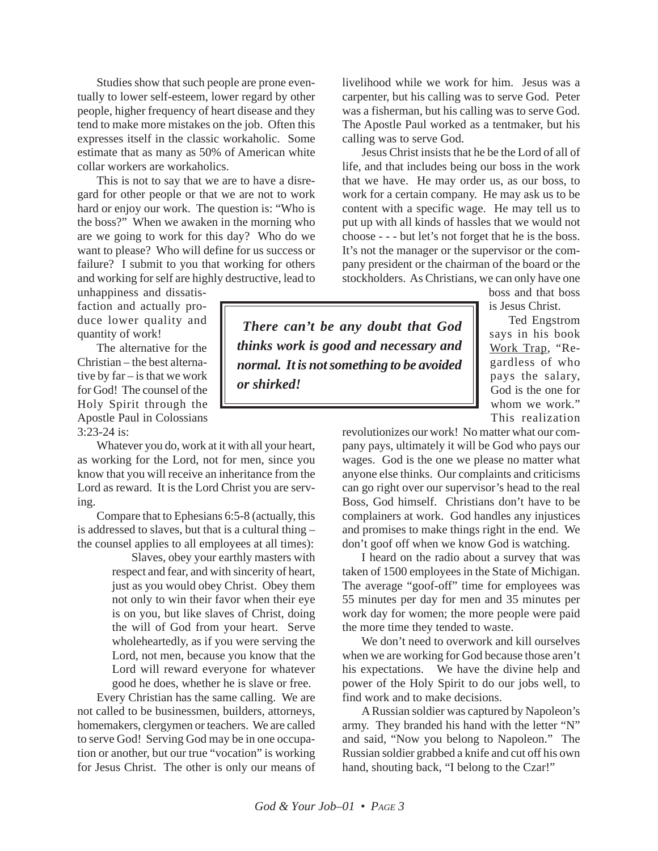Studies show that such people are prone eventually to lower self-esteem, lower regard by other people, higher frequency of heart disease and they tend to make more mistakes on the job. Often this expresses itself in the classic workaholic. Some estimate that as many as 50% of American white collar workers are workaholics.

This is not to say that we are to have a disregard for other people or that we are not to work hard or enjoy our work. The question is: "Who is the boss?" When we awaken in the morning who are we going to work for this day? Who do we want to please? Who will define for us success or failure? I submit to you that working for others and working for self are highly destructive, lead to

unhappiness and dissatisfaction and actually produce lower quality and quantity of work!

The alternative for the Christian – the best alternative by far – is that we work for God! The counsel of the Holy Spirit through the Apostle Paul in Colossians 3:23-24 is:

Whatever you do, work at it with all your heart, as working for the Lord, not for men, since you know that you will receive an inheritance from the Lord as reward. It is the Lord Christ you are serving.

Compare that to Ephesians 6:5-8 (actually, this is addressed to slaves, but that is a cultural thing – the counsel applies to all employees at all times):

> Slaves, obey your earthly masters with respect and fear, and with sincerity of heart, just as you would obey Christ. Obey them not only to win their favor when their eye is on you, but like slaves of Christ, doing the will of God from your heart. Serve wholeheartedly, as if you were serving the Lord, not men, because you know that the Lord will reward everyone for whatever good he does, whether he is slave or free.

Every Christian has the same calling. We are not called to be businessmen, builders, attorneys, homemakers, clergymen or teachers. We are called to serve God! Serving God may be in one occupation or another, but our true "vocation" is working for Jesus Christ. The other is only our means of livelihood while we work for him. Jesus was a carpenter, but his calling was to serve God. Peter was a fisherman, but his calling was to serve God. The Apostle Paul worked as a tentmaker, but his calling was to serve God.

Jesus Christ insists that he be the Lord of all of life, and that includes being our boss in the work that we have. He may order us, as our boss, to work for a certain company. He may ask us to be content with a specific wage. He may tell us to put up with all kinds of hassles that we would not choose - - - but let's not forget that he is the boss. It's not the manager or the supervisor or the company president or the chairman of the board or the stockholders. As Christians, we can only have one

boss and that boss is Jesus Christ.

Ted Engstrom says in his book Work Trap, "Regardless of who pays the salary, God is the one for whom we work." This realization

revolutionizes our work! No matter what our company pays, ultimately it will be God who pays our wages. God is the one we please no matter what anyone else thinks. Our complaints and criticisms can go right over our supervisor's head to the real Boss, God himself. Christians don't have to be complainers at work. God handles any injustices and promises to make things right in the end. We don't goof off when we know God is watching.

I heard on the radio about a survey that was taken of 1500 employees in the State of Michigan. The average "goof-off" time for employees was 55 minutes per day for men and 35 minutes per work day for women; the more people were paid the more time they tended to waste.

We don't need to overwork and kill ourselves when we are working for God because those aren't his expectations. We have the divine help and power of the Holy Spirit to do our jobs well, to find work and to make decisions.

A Russian soldier was captured by Napoleon's army. They branded his hand with the letter "N" and said, "Now you belong to Napoleon." The Russian soldier grabbed a knife and cut off his own hand, shouting back, "I belong to the Czar!"

*There can't be any doubt that God thinks work is good and necessary and normal. It is not something to be avoided or shirked!*